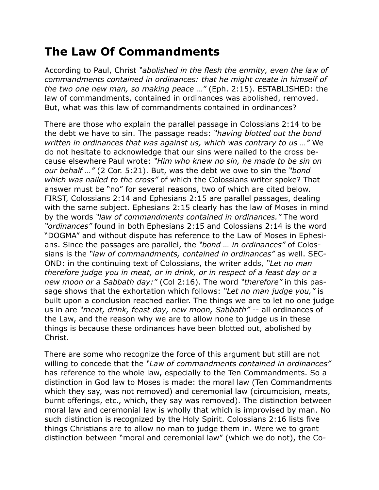## **The Law Of Commandments**

According to Paul, Christ *"abolished in the flesh the enmity, even the law of commandments contained in ordinances: that he might create in himself of the two one new man, so making peace …"* (Eph. 2:15). ESTABLISHED: the law of commandments, contained in ordinances was abolished, removed. But, what was this law of commandments contained in ordinances?

There are those who explain the parallel passage in Colossians 2:14 to be the debt we have to sin. The passage reads: *"having blotted out the bond written in ordinances that was against us, which was contrary to us …"* We do not hesitate to acknowledge that our sins were nailed to the cross because elsewhere Paul wrote: *"Him who knew no sin, he made to be sin on our behalf …"* (2 Cor. 5:21). But, was the debt we owe to sin the *"bond which was nailed to the cross"* of which the Colossians writer spoke? That answer must be "no" for several reasons, two of which are cited below. FIRST, Colossians 2:14 and Ephesians 2:15 are parallel passages, dealing with the same subject. Ephesians 2:15 clearly has the law of Moses in mind by the words *"law of commandments contained in ordinances."* The word *"ordinances"* found in both Ephesians 2:15 and Colossians 2:14 is the word "DOGMA" and without dispute has reference to the Law of Moses in Ephesians. Since the passages are parallel, the *"bond … in ordinances"* of Colossians is the *"law of commandments, contained in ordinances"* as well. SEC-OND: in the continuing text of Colossians, the writer adds, *"Let no man therefore judge you in meat, or in drink, or in respect of a feast day or a new moon or a Sabbath day:"* (Col 2:16). The word *"therefore"* in this passage shows that the exhortation which follows: *"Let no man judge you,"* is built upon a conclusion reached earlier. The things we are to let no one judge us in are *"meat, drink, feast day, new moon, Sabbath"* -- all ordinances of the Law, and the reason why we are to allow none to judge us in these things is because these ordinances have been blotted out, abolished by Christ.

There are some who recognize the force of this argument but still are not willing to concede that the *"Law of commandments contained in ordinances"* has reference to the whole law, especially to the Ten Commandments. So a distinction in God law to Moses is made: the moral law (Ten Commandments which they say, was not removed) and ceremonial law (circumcision, meats, burnt offerings, etc., which, they say was removed). The distinction between moral law and ceremonial law is wholly that which is improvised by man. No such distinction is recognized by the Holy Spirit. Colossians 2:16 lists five things Christians are to allow no man to judge them in. Were we to grant distinction between "moral and ceremonial law" (which we do not), the Co